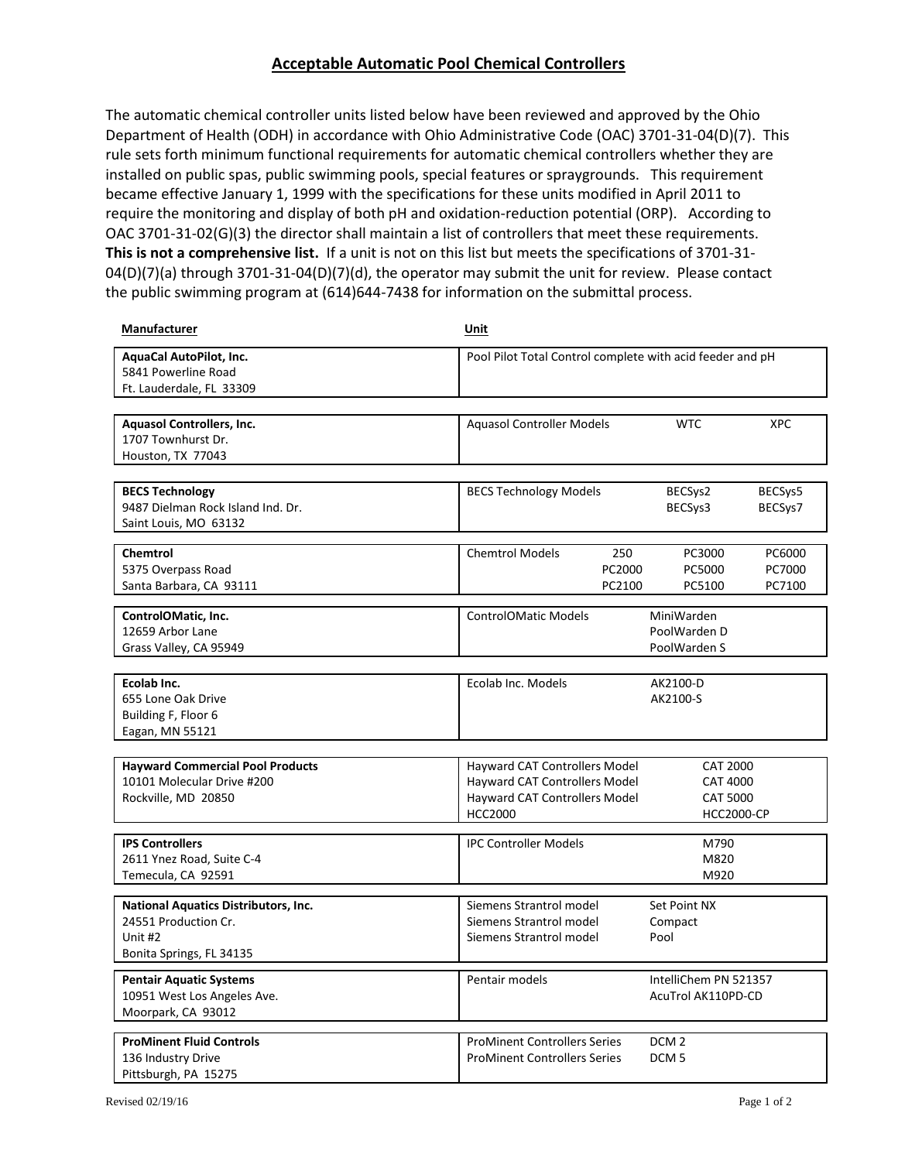## **Acceptable Automatic Pool Chemical Controllers**

The automatic chemical controller units listed below have been reviewed and approved by the Ohio Department of Health (ODH) in accordance with Ohio Administrative Code (OAC) 3701-31-04(D)(7). This rule sets forth minimum functional requirements for automatic chemical controllers whether they are installed on public spas, public swimming pools, special features or spraygrounds. This requirement became effective January 1, 1999 with the specifications for these units modified in April 2011 to require the monitoring and display of both pH and oxidation-reduction potential (ORP). According to OAC 3701-31-02(G)(3) the director shall maintain a list of controllers that meet these requirements. **This is not a comprehensive list.** If a unit is not on this list but meets the specifications of 3701-31-  $04(D)(7)(a)$  through 3701-31-04(D)(7)(d), the operator may submit the unit for review. Please contact the public swimming program at (614)644-7438 for information on the submittal process.

| Manufacturer                                                                                               | Unit                                                                                                                     |                                                                            |                            |  |
|------------------------------------------------------------------------------------------------------------|--------------------------------------------------------------------------------------------------------------------------|----------------------------------------------------------------------------|----------------------------|--|
| AquaCal AutoPilot, Inc.<br>5841 Powerline Road<br>Ft. Lauderdale, FL 33309                                 |                                                                                                                          | Pool Pilot Total Control complete with acid feeder and pH                  |                            |  |
| <b>Aquasol Controllers, Inc.</b><br>1707 Townhurst Dr.<br>Houston, TX 77043                                | <b>Aquasol Controller Models</b>                                                                                         | <b>WTC</b>                                                                 | <b>XPC</b>                 |  |
| <b>BECS Technology</b><br>9487 Dielman Rock Island Ind. Dr.<br>Saint Louis, MO 63132                       | <b>BECS Technology Models</b>                                                                                            | BECSys2<br>BECSys3                                                         | BECSys5<br>BECSys7         |  |
| Chemtrol<br>5375 Overpass Road<br>Santa Barbara, CA 93111                                                  | <b>Chemtrol Models</b><br>250<br>PC2000<br>PC2100                                                                        | PC3000<br>PC5000<br>PC5100                                                 | PC6000<br>PC7000<br>PC7100 |  |
| ControlOMatic, Inc.<br>12659 Arbor Lane<br>Grass Valley, CA 95949                                          | <b>ControlOMatic Models</b>                                                                                              | MiniWarden<br>PoolWarden D<br>PoolWarden S                                 |                            |  |
| Ecolab Inc.<br>655 Lone Oak Drive<br>Building F, Floor 6<br>Eagan, MN 55121                                | Ecolab Inc. Models                                                                                                       | AK2100-D<br>AK2100-S                                                       |                            |  |
| <b>Hayward Commercial Pool Products</b><br>10101 Molecular Drive #200<br>Rockville, MD 20850               | Hayward CAT Controllers Model<br>Hayward CAT Controllers Model<br><b>Hayward CAT Controllers Model</b><br><b>HCC2000</b> | <b>CAT 2000</b><br><b>CAT 4000</b><br><b>CAT 5000</b><br><b>HCC2000-CP</b> |                            |  |
| <b>IPS Controllers</b><br>2611 Ynez Road, Suite C-4<br>Temecula, CA 92591                                  | <b>IPC Controller Models</b>                                                                                             | M790<br>M820<br>M920                                                       |                            |  |
| <b>National Aquatics Distributors, Inc.</b><br>24551 Production Cr.<br>Unit #2<br>Bonita Springs, FL 34135 | Siemens Strantrol model<br>Siemens Strantrol model<br>Siemens Strantrol model                                            | Set Point NX<br>Compact<br>Pool                                            |                            |  |
| <b>Pentair Aquatic Systems</b><br>10951 West Los Angeles Ave.<br>Moorpark, CA 93012                        | Pentair models                                                                                                           | IntelliChem PN 521357<br>AcuTrol AK110PD-CD                                |                            |  |
| <b>ProMinent Fluid Controls</b><br>136 Industry Drive<br>Pittsburgh, PA 15275                              | <b>ProMinent Controllers Series</b><br><b>ProMinent Controllers Series</b>                                               | DCM <sub>2</sub><br>DCM <sub>5</sub>                                       |                            |  |